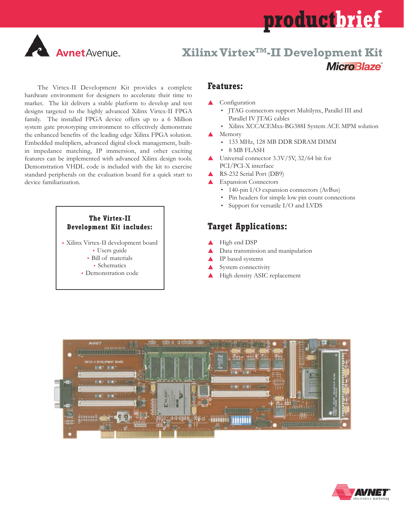# **productbrief**



## **Xilinx VirtexTM-II Development Kit MicroBlaze**

The Virtex-II Development Kit provides a complete hardware environment for designers to accelerate their time to market. The kit delivers a stable platform to develop and test designs targeted to the highly advanced Xilinx Virtex-II FPGA family. The installed FPGA device offers up to a 6 Million system gate prototyping environment to effectively demonstrate the enhanced benefits of the leading edge Xilinx FPGA solution. Embedded multipliers, advanced digital clock management, builtin impedance matching, IP immersion, and other exciting features can be implemented with advanced Xilinx design tools. Demonstration VHDL code is included with the kit to exercise standard peripherals on the evaluation board for a quick start to device familiarization.

#### **The Virtex-II Development Kit includes:**

 Xilinx Virtex-II development board Users guide

- Bill of materials • Schematics
- Demonstration code

#### **Features:**

- Configuration
	- JTAG connectors support Multilynx, Parallel III and Parallel IV JTAG cables
	- Xilinx XCCACEMxx-BG388I System ACE MPM solution
- $\blacktriangle$  Memory
	- 133 MHz, 128 MB DDR SDRAM DIMM
	- 8 MB FLASH
- ▲ Universal connector 3.3V/5V, 32/64 bit for PCI/PCI-X interface
- RS-232 Serial Port (DB9)
- Expansion Connectors
	- 140-pin I/O expansion connectors (AvBus)
	- Pin headers for simple low pin count connections
	- Support for versatile I/O and LVDS

### **Target Applications:**

- High end DSP
- Data transmission and manipulation
- IP based systems
- System connectivity
- High density ASIC replacement